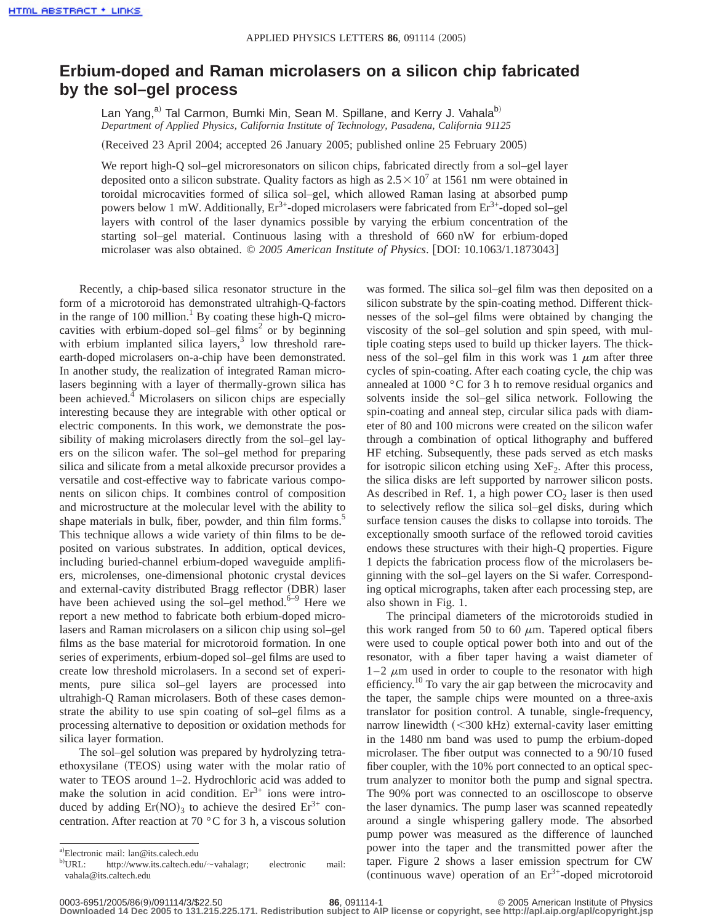## **Erbium-doped and Raman microlasers on a silicon chip fabricated by the sol–gel process**

Lan Yang,<sup>a)</sup> Tal Carmon, Bumki Min, Sean M. Spillane, and Kerry J. Vahala<sup>b)</sup> *Department of Applied Physics, California Institute of Technology, Pasadena, California 91125*

(Received 23 April 2004; accepted 26 January 2005; published online 25 February 2005)

We report high-Q sol–gel microresonators on silicon chips, fabricated directly from a sol–gel layer deposited onto a silicon substrate. Quality factors as high as  $2.5 \times 10^7$  at 1561 nm were obtained in toroidal microcavities formed of silica sol–gel, which allowed Raman lasing at absorbed pump powers below 1 mW. Additionally,  $Er^{3+}$ -doped microlasers were fabricated from  $Er^{3+}$ -doped sol–gel layers with control of the laser dynamics possible by varying the erbium concentration of the starting sol–gel material. Continuous lasing with a threshold of 660 nW for erbium-doped microlaser was also obtained. © 2005 American Institute of Physics. [DOI: 10.1063/1.1873043]

Recently, a chip-based silica resonator structure in the form of a microtoroid has demonstrated ultrahigh-Q-factors in the range of 100 million.<sup>1</sup> By coating these high-O microcavities with erbium-doped sol–gel films<sup>2</sup> or by beginning with erbium implanted silica layers, $3$  low threshold rareearth-doped microlasers on-a-chip have been demonstrated. In another study, the realization of integrated Raman microlasers beginning with a layer of thermally-grown silica has been achieved.<sup>4</sup> Microlasers on silicon chips are especially interesting because they are integrable with other optical or electric components. In this work, we demonstrate the possibility of making microlasers directly from the sol–gel layers on the silicon wafer. The sol–gel method for preparing silica and silicate from a metal alkoxide precursor provides a versatile and cost-effective way to fabricate various components on silicon chips. It combines control of composition and microstructure at the molecular level with the ability to shape materials in bulk, fiber, powder, and thin film forms.<sup>5</sup> This technique allows a wide variety of thin films to be deposited on various substrates. In addition, optical devices, including buried-channel erbium-doped waveguide amplifiers, microlenses, one-dimensional photonic crystal devices and external-cavity distributed Bragg reflector (DBR) laser have been achieved using the sol–gel method. $6-9$  Here we report a new method to fabricate both erbium-doped microlasers and Raman microlasers on a silicon chip using sol–gel films as the base material for microtoroid formation. In one series of experiments, erbium-doped sol–gel films are used to create low threshold microlasers. In a second set of experiments, pure silica sol–gel layers are processed into ultrahigh-Q Raman microlasers. Both of these cases demonstrate the ability to use spin coating of sol–gel films as a processing alternative to deposition or oxidation methods for silica layer formation.

The sol–gel solution was prepared by hydrolyzing tetraethoxysilane (TEOS) using water with the molar ratio of water to TEOS around 1–2. Hydrochloric acid was added to make the solution in acid condition.  $Er<sup>3+</sup>$  ions were introduced by adding  $Er(NO)_3$  to achieve the desired  $Er^{3+}$  concentration. After reaction at 70 °C for 3 h, a viscous solution was formed. The silica sol–gel film was then deposited on a silicon substrate by the spin-coating method. Different thicknesses of the sol–gel films were obtained by changing the viscosity of the sol–gel solution and spin speed, with multiple coating steps used to build up thicker layers. The thickness of the sol–gel film in this work was  $1 \mu m$  after three cycles of spin-coating. After each coating cycle, the chip was annealed at 1000 °C for 3 h to remove residual organics and solvents inside the sol–gel silica network. Following the spin-coating and anneal step, circular silica pads with diameter of 80 and 100 microns were created on the silicon wafer through a combination of optical lithography and buffered HF etching. Subsequently, these pads served as etch masks for isotropic silicon etching using  $XeF_2$ . After this process, the silica disks are left supported by narrower silicon posts. As described in Ref. 1, a high power  $CO<sub>2</sub>$  laser is then used to selectively reflow the silica sol–gel disks, during which surface tension causes the disks to collapse into toroids. The exceptionally smooth surface of the reflowed toroid cavities endows these structures with their high-Q properties. Figure 1 depicts the fabrication process flow of the microlasers beginning with the sol–gel layers on the Si wafer. Corresponding optical micrographs, taken after each processing step, are also shown in Fig. 1.

The principal diameters of the microtoroids studied in this work ranged from 50 to 60  $\mu$ m. Tapered optical fibers were used to couple optical power both into and out of the resonator, with a fiber taper having a waist diameter of  $1-2 \mu m$  used in order to couple to the resonator with high efficiency.<sup>10</sup> To vary the air gap between the microcavity and the taper, the sample chips were mounted on a three-axis translator for position control. A tunable, single-frequency, narrow linewidth  $(<$ 300 kHz) external-cavity laser emitting in the 1480 nm band was used to pump the erbium-doped microlaser. The fiber output was connected to a 90/10 fused fiber coupler, with the 10% port connected to an optical spectrum analyzer to monitor both the pump and signal spectra. The 90% port was connected to an oscilloscope to observe the laser dynamics. The pump laser was scanned repeatedly around a single whispering gallery mode. The absorbed pump power was measured as the difference of launched power into the taper and the transmitted power after the taper. Figure 2 shows a laser emission spectrum for CW (continuous wave) operation of an  $Er^{3+}$ -doped microtoroid

a)Electronic mail: lan@its.calech.edu

 $b)$ URL: http://www.its.caltech.edu/~vahalagr; electronic mail: vahala@its.caltech.edu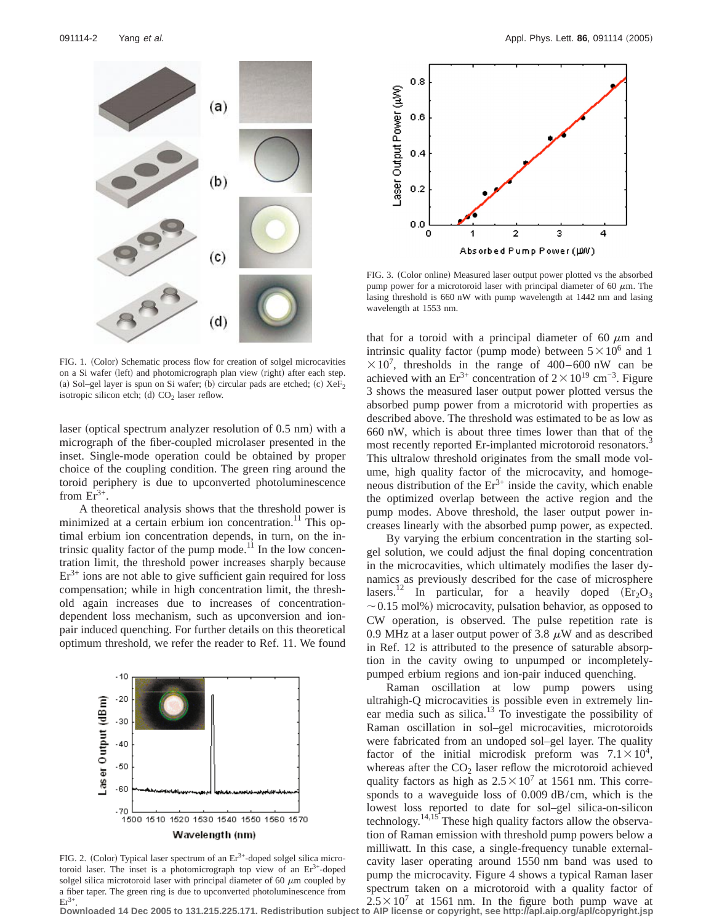

FIG. 1. (Color) Schematic process flow for creation of solgel microcavities on a Si wafer (left) and photomicrograph plan view (right) after each step. (a) Sol–gel layer is spun on Si wafer; (b) circular pads are etched; (c)  $XeF_2$ isotropic silicon etch; (d)  $CO<sub>2</sub>$  laser reflow.

laser (optical spectrum analyzer resolution of 0.5 nm) with a micrograph of the fiber-coupled microlaser presented in the inset. Single-mode operation could be obtained by proper choice of the coupling condition. The green ring around the toroid periphery is due to upconverted photoluminescence from  $Er^{3+}$ .

A theoretical analysis shows that the threshold power is minimized at a certain erbium ion concentration.<sup>11</sup> This optimal erbium ion concentration depends, in turn, on the intrinsic quality factor of the pump mode.<sup>11</sup> In the low concentration limit, the threshold power increases sharply because  $Er<sup>3+</sup>$  ions are not able to give sufficient gain required for loss compensation; while in high concentration limit, the threshold again increases due to increases of concentrationdependent loss mechanism, such as upconversion and ionpair induced quenching. For further details on this theoretical optimum threshold, we refer the reader to Ref. 11. We found



FIG. 2. (Color) Typical laser spectrum of an  $Er<sup>3+</sup>$ -doped solgel silica microtoroid laser. The inset is a photomicrograph top view of an  $Er<sup>3+</sup>$ -doped solgel silica microtoroid laser with principal diameter of 60  $\mu$ m coupled by a fiber taper. The green ring is due to upconverted photoluminescence from  $Er^{3+}$ **Downloaded 14 Dec 2005 to 131.215.225.171. Redistribution subject to AIP license or copyright, see http://apl.aip.org/apl/copyright.jsp**



FIG. 3. (Color online) Measured laser output power plotted vs the absorbed pump power for a microtoroid laser with principal diameter of 60  $\mu$ m. The lasing threshold is 660 nW with pump wavelength at 1442 nm and lasing wavelength at 1553 nm.

that for a toroid with a principal diameter of 60  $\mu$ m and intrinsic quality factor (pump mode) between  $5\times10^6$  and 1  $\times 10^7$ , thresholds in the range of 400–600 nW can be achieved with an Er<sup>3+</sup> concentration of  $2 \times 10^{19}$  cm<sup>-3</sup>. Figure 3 shows the measured laser output power plotted versus the absorbed pump power from a microtorid with properties as described above. The threshold was estimated to be as low as 660 nW, which is about three times lower than that of the most recently reported Er-implanted microtoroid resonators.<sup>3</sup> This ultralow threshold originates from the small mode volume, high quality factor of the microcavity, and homogeneous distribution of the  $Er^{3+}$  inside the cavity, which enable the optimized overlap between the active region and the pump modes. Above threshold, the laser output power increases linearly with the absorbed pump power, as expected.

By varying the erbium concentration in the starting solgel solution, we could adjust the final doping concentration in the microcavities, which ultimately modifies the laser dynamics as previously described for the case of microsphere lasers.<sup>12</sup> In particular, for a heavily doped  $(Er_2O_3)$  $\sim$  0.15 mol%) microcavity, pulsation behavior, as opposed to CW operation, is observed. The pulse repetition rate is 0.9 MHz at a laser output power of 3.8  $\mu$ W and as described in Ref. 12 is attributed to the presence of saturable absorption in the cavity owing to unpumped or incompletelypumped erbium regions and ion-pair induced quenching.

Raman oscillation at low pump powers using ultrahigh-Q microcavities is possible even in extremely linear media such as silica.<sup>13</sup> To investigate the possibility of Raman oscillation in sol–gel microcavities, microtoroids were fabricated from an undoped sol–gel layer. The quality factor of the initial microdisk preform was  $7.1 \times 10^4$ , whereas after the  $CO<sub>2</sub>$  laser reflow the microtoroid achieved quality factors as high as  $2.5 \times 10^7$  at 1561 nm. This corresponds to a waveguide loss of 0.009 dB/cm, which is the lowest loss reported to date for sol–gel silica-on-silicon technology.<sup>14,15</sup> These high quality factors allow the observation of Raman emission with threshold pump powers below a milliwatt. In this case, a single-frequency tunable externalcavity laser operating around 1550 nm band was used to pump the microcavity. Figure 4 shows a typical Raman laser spectrum taken on a microtoroid with a quality factor of  $2.5 \times 10^7$  at 1561 nm. In the figure both pump wave at